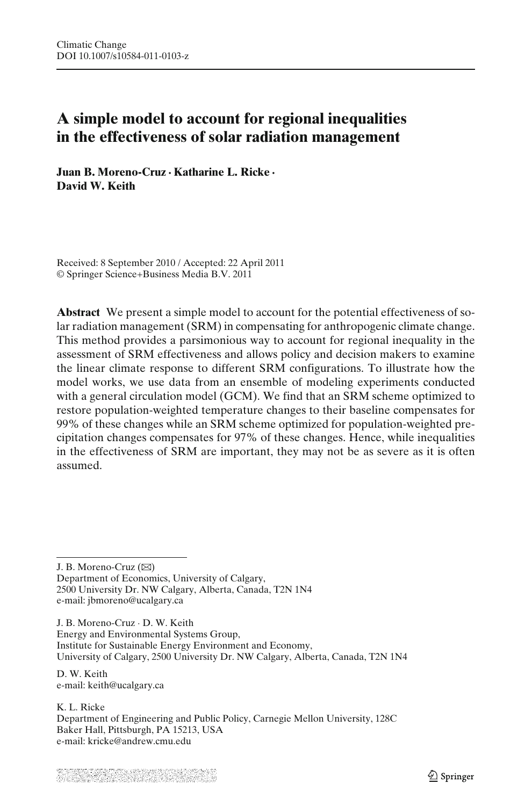# **A simple model to account for regional inequalities in the effectiveness of solar radiation management**

**Juan B. Moreno-Cruz · Katharine L. Ricke · David W. Keith**

Received: 8 September 2010 / Accepted: 22 April 2011 © Springer Science+Business Media B.V. 2011

**Abstract** We present a simple model to account for the potential effectiveness of solar radiation management (SRM) in compensating for anthropogenic climate change. This method provides a parsimonious way to account for regional inequality in the assessment of SRM effectiveness and allows policy and decision makers to examine the linear climate response to different SRM configurations. To illustrate how the model works, we use data from an ensemble of modeling experiments conducted with a general circulation model (GCM). We find that an SRM scheme optimized to restore population-weighted temperature changes to their baseline compensates for 99% of these changes while an SRM scheme optimized for population-weighted precipitation changes compensates for 97% of these changes. Hence, while inequalities in the effectiveness of SRM are important, they may not be as severe as it is often assumed.

J. B. Moreno-Cruz ( $\bowtie$ ) Department of Economics, University of Calgary, 2500 University Dr. NW Calgary, Alberta, Canada, T2N 1N4 e-mail: jbmoreno@ucalgary.ca

J. B. Moreno-Cruz · D. W. Keith Energy and Environmental Systems Group, Institute for Sustainable Energy Environment and Economy, University of Calgary, 2500 University Dr. NW Calgary, Alberta, Canada, T2N 1N4

D. W. Keith e-mail: keith@ucalgary.ca

K. L. Ricke Department of Engineering and Public Policy, Carnegie Mellon University, 128C Baker Hall, Pittsburgh, PA 15213, USA e-mail: kricke@andrew.cmu.edu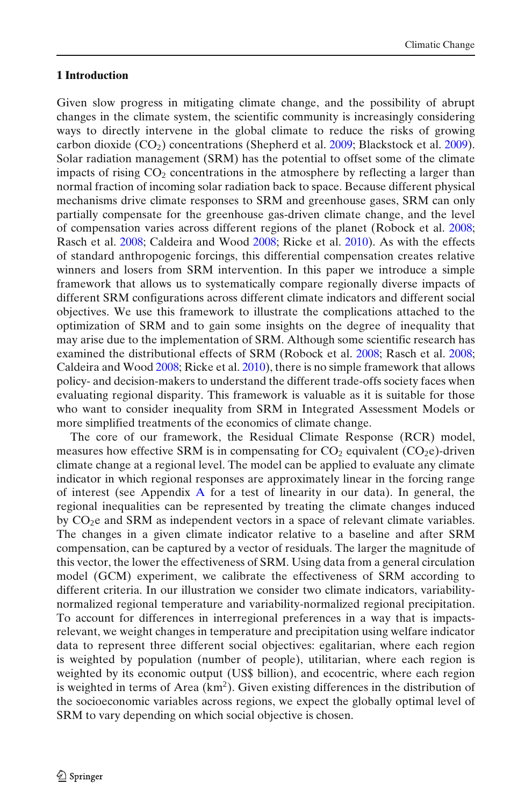# **1 Introduction**

Given slow progress in mitigating climate change, and the possibility of abrupt changes in the climate system, the scientific community is increasingly considering ways to directly intervene in the global climate to reduce the risks of growing carbon dioxide  $(CO<sub>2</sub>)$  concentrations (Shepherd et al[.](#page-19-0) [2009](#page-19-0); Blackstock et al. [2009\)](#page-19-0). Solar radiation management (SRM) has the potential to offset some of the climate impacts of rising  $CO<sub>2</sub>$  concentrations in the atmosphere by reflecting a larger than normal fraction of incoming solar radiation back to space. Because different physical mechanisms drive climate responses to SRM and greenhouse gases, SRM can only partially compensate for the greenhouse gas-driven climate change, and the level of compensation varies across different regions of the planet (Robock et al[.](#page-19-0) [2008](#page-19-0); Rasch et al[.](#page-19-0) [2008](#page-19-0); Caldeira and Woo[d](#page-19-0) [2008](#page-19-0); Ricke et al[.](#page-19-0) [2010](#page-19-0)). As with the effects of standard anthropogenic forcings, this differential compensation creates relative winners and losers from SRM intervention. In this paper we introduce a simple framework that allows us to systematically compare regionally diverse impacts of different SRM configurations across different climate indicators and different social objectives. We use this framework to illustrate the complications attached to the optimization of SRM and to gain some insights on the degree of inequality that may arise due to the implementation of SRM. Although some scientific research has examined the distributional effects of SRM (Robock et al[.](#page-19-0) [2008](#page-19-0); Rasch et al[.](#page-19-0) [2008](#page-19-0); Caldeira and Woo[d](#page-19-0) [2008;](#page-19-0) Ricke et al[.](#page-19-0) [2010](#page-19-0)), there is no simple framework that allows policy- and decision-makers to understand the different trade-offs society faces when evaluating regional disparity. This framework is valuable as it is suitable for those who want to consider inequality from SRM in Integrated Assessment Models or more simplified treatments of the economics of climate change.

The core of our framework, the Residual Climate Response (RCR) model, measures how effective SRM is in compensating for  $CO<sub>2</sub>$  equivalent ( $CO<sub>2</sub>e$ )-driven climate change at a regional level. The model can be applied to evaluate any climate indicator in which regional responses are approximately linear in the forcing range of interest (see [A](#page-13-0)ppendix  $\overline{A}$  for a test of linearity in our data). In general, the regional inequalities can be represented by treating the climate changes induced by  $CO<sub>2</sub>e$  and SRM as independent vectors in a space of relevant climate variables. The changes in a given climate indicator relative to a baseline and after SRM compensation, can be captured by a vector of residuals. The larger the magnitude of this vector, the lower the effectiveness of SRM. Using data from a general circulation model (GCM) experiment, we calibrate the effectiveness of SRM according to different criteria. In our illustration we consider two climate indicators, variabilitynormalized regional temperature and variability-normalized regional precipitation. To account for differences in interregional preferences in a way that is impactsrelevant, we weight changes in temperature and precipitation using welfare indicator data to represent three different social objectives: egalitarian, where each region is weighted by population (number of people), utilitarian, where each region is weighted by its economic output (US\$ billion), and ecocentric, where each region is weighted in terms of Area  $(km^2)$ . Given existing differences in the distribution of the socioeconomic variables across regions, we expect the globally optimal level of SRM to vary depending on which social objective is chosen.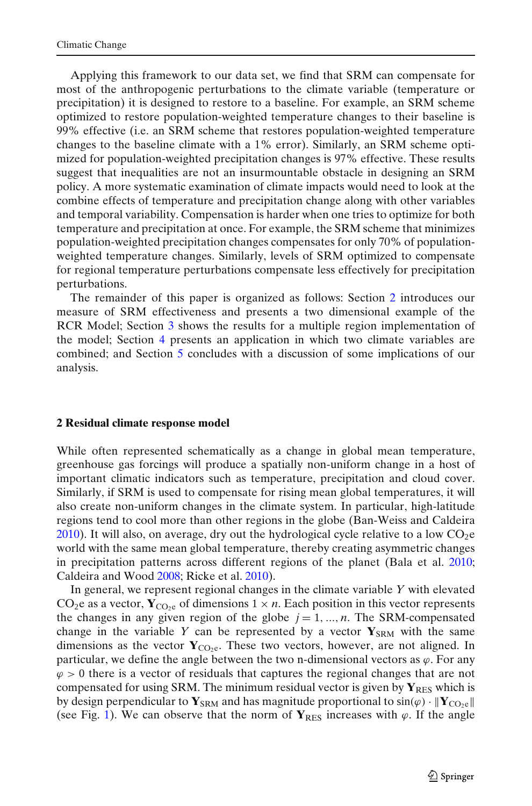Applying this framework to our data set, we find that SRM can compensate for most of the anthropogenic perturbations to the climate variable (temperature or precipitation) it is designed to restore to a baseline. For example, an SRM scheme optimized to restore population-weighted temperature changes to their baseline is 99% effective (i.e. an SRM scheme that restores population-weighted temperature changes to the baseline climate with a 1% error). Similarly, an SRM scheme optimized for population-weighted precipitation changes is 97% effective. These results suggest that inequalities are not an insurmountable obstacle in designing an SRM policy. A more systematic examination of climate impacts would need to look at the combine effects of temperature and precipitation change along with other variables and temporal variability. Compensation is harder when one tries to optimize for both temperature and precipitation at once. For example, the SRM scheme that minimizes population-weighted precipitation changes compensates for only 70% of populationweighted temperature changes. Similarly, levels of SRM optimized to compensate for regional temperature perturbations compensate less effectively for precipitation perturbations.

The remainder of this paper is organized as follows: Section 2 introduces our measure of SRM effectiveness and presents a two dimensional example of the RCR Model; Section [3](#page-5-0) shows the results for a multiple region implementation of the model; Section [4](#page-10-0) presents an application in which two climate variables are combined; and Section [5](#page-12-0) concludes with a discussion of some implications of our analysis.

#### **2 Residual climate response model**

While often represented schematically as a change in global mean temperature, greenhouse gas forcings will produce a spatially non-uniform change in a host of important climatic indicators such as temperature, precipitation and cloud cover. Similarly, if SRM is used to compensate for rising mean global temperatures, it will also create non-uniform changes in the climate system. In particular, high-latitude regions tend to cool more than other regions in the globe (Ban-Weiss and Caldeir[a](#page-19-0)  $2010$ ). It will also, on average, dry out the hydrological cycle relative to a low  $CO<sub>2</sub>e$ world with the same mean global temperature, thereby creating asymmetric changes in precipitation patterns across different regions of the planet (Bala et al[.](#page-19-0) [2010](#page-19-0); Caldeira and Woo[d](#page-19-0) [2008;](#page-19-0) Ricke et al[.](#page-19-0) [2010\)](#page-19-0).

In general, we represent regional changes in the climate variable *Y* with elevated CO<sub>2</sub>e as a vector,  $\mathbf{Y}_{\text{CO}_2e}$  of dimensions  $1 \times n$ . Each position in this vector represents the changes in any given region of the globe  $j = 1, ..., n$ . The SRM-compensated change in the variable *Y* can be represented by a vector  $\mathbf{Y}_{SRM}$  with the same dimensions as the vector  $\mathbf{Y}_{\text{CO}_2e}$ . These two vectors, however, are not aligned. In particular, we define the angle between the two n-dimensional vectors as  $\varphi$ . For any  $\varphi > 0$  there is a vector of residuals that captures the regional changes that are not compensated for using SRM. The minimum residual vector is given by  $Y_{RES}$  which is by design perpendicular to  $\mathbf{Y}_{\text{SRM}}$  and has magnitude proportional to  $\sin(\varphi) \cdot \|\mathbf{Y}_{\text{CO}_2e}\|$ (see Fig. [1\)](#page-3-0). We can observe that the norm of  $Y_{RES}$  increases with  $\varphi$ . If the angle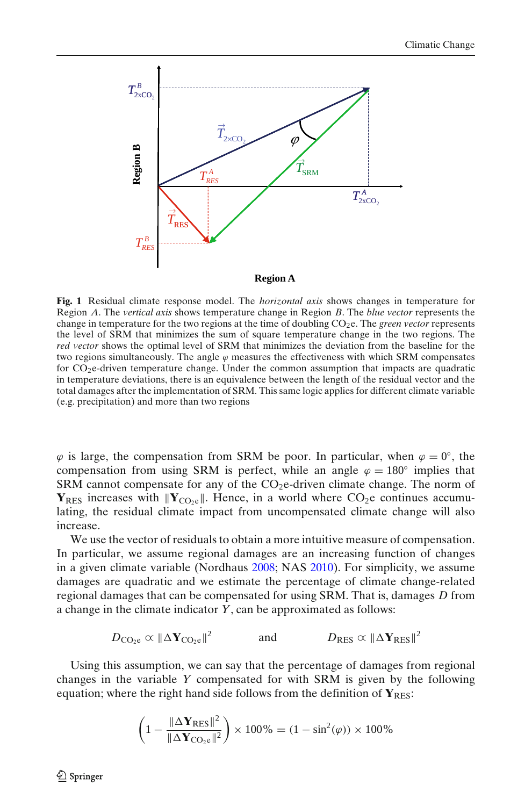<span id="page-3-0"></span>

**Fig. 1** Residual climate response model. The *horizontal axis* shows changes in temperature for Region *A*. The *vertical axis* shows temperature change in Region *B*. The *blue vector* represents the change in temperature for the two regions at the time of doubling CO2e. The *green vector* represents the level of SRM that minimizes the sum of square temperature change in the two regions. The *red vector* shows the optimal level of SRM that minimizes the deviation from the baseline for the two regions simultaneously. The angle  $\varphi$  measures the effectiveness with which SRM compensates for CO2e-driven temperature change. Under the common assumption that impacts are quadratic in temperature deviations, there is an equivalence between the length of the residual vector and the total damages after the implementation of SRM. This same logic applies for different climate variable (e.g. precipitation) and more than two regions

 $\varphi$  is large, the compensation from SRM be poor. In particular, when  $\varphi = 0^{\circ}$ , the compensation from using SRM is perfect, while an angle  $\varphi = 180^\circ$  implies that SRM cannot compensate for any of the  $CO<sub>2</sub>e$ -driven climate change. The norm of  $Y_{RES}$  increases with  $\|Y_{CO_2e}\|$ . Hence, in a world where  $CO_2e$  continues accumulating, the residual climate impact from uncompensated climate change will also increase.

We use the vector of residuals to obtain a more intuitive measure of compensation. In particular, we assume regional damages are an increasing function of changes in a given climate variable (Nordhau[s](#page-19-0) [2008](#page-19-0); NA[S](#page-19-0) [2010\)](#page-19-0). For simplicity, we assume damages are quadratic and we estimate the percentage of climate change-related regional damages that can be compensated for using SRM. That is, damages *D* from a change in the climate indicator *Y*, can be approximated as follows:

$$
D_{\text{CO}_2e} \propto \|\Delta \mathbf{Y}_{\text{CO}_2e}\|^2
$$
 and  $D_{\text{RES}} \propto \|\Delta \mathbf{Y}_{\text{RES}}\|^2$ 

Using this assumption, we can say that the percentage of damages from regional changes in the variable *Y* compensated for with SRM is given by the following equation; where the right hand side follows from the definition of  $Y_{RES}$ :

$$
\left(1 - \frac{\|\Delta \mathbf{Y}_{RES}\|^2}{\|\Delta \mathbf{Y}_{CO_2e}\|^2}\right) \times 100\% = (1 - \sin^2(\varphi)) \times 100\%
$$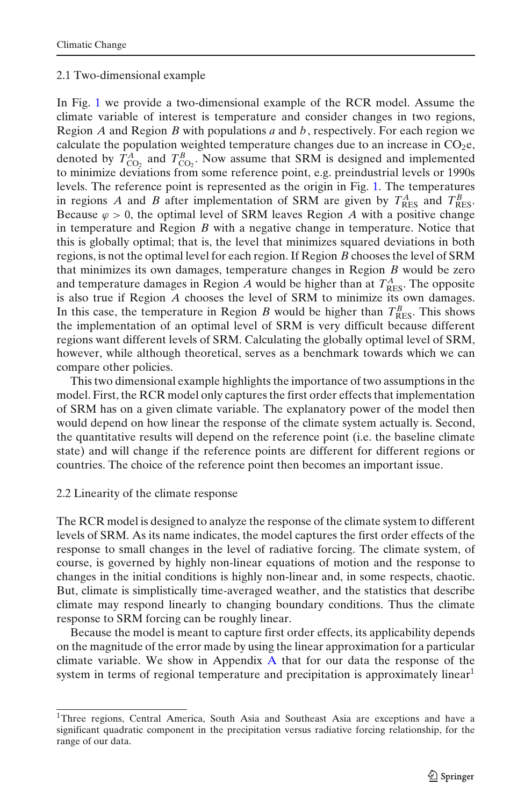# 2.1 Two-dimensional example

In Fig. [1](#page-3-0) we provide a two-dimensional example of the RCR model. Assume the climate variable of interest is temperature and consider changes in two regions, Region *A* and Region *B* with populations *a* and *b*, respectively. For each region we calculate the population weighted temperature changes due to an increase in  $CO<sub>2</sub>e$ , denoted by  $T_{\text{CO}_2}^A$  and  $T_{\text{CO}_2}^B$ . Now assume that SRM is designed and implemented to minimize deviations from some reference point, e.g. preindustrial levels or 1990s levels. The reference point is represented as the origin in Fig. [1.](#page-3-0) The temperatures in regions *A* and *B* after implementation of SRM are given by  $T_{RES}^A$  and  $T_{RES}^B$ . Because  $\varphi > 0$ , the optimal level of SRM leaves Region *A* with a positive change in temperature and Region *B* with a negative change in temperature. Notice that this is globally optimal; that is, the level that minimizes squared deviations in both regions, is not the optimal level for each region. If Region *B* chooses the level of SRM that minimizes its own damages, temperature changes in Region *B* would be zero and temperature damages in Region *A* would be higher than at  $T_{RES}^A$ . The opposite is also true if Region *A* chooses the level of SRM to minimize its own damages. In this case, the temperature in Region *B* would be higher than  $T_{RES}^B$ . This shows the implementation of an optimal level of SRM is very difficult because different regions want different levels of SRM. Calculating the globally optimal level of SRM, however, while although theoretical, serves as a benchmark towards which we can compare other policies.

This two dimensional example highlights the importance of two assumptions in the model. First, the RCR model only captures the first order effects that implementation of SRM has on a given climate variable. The explanatory power of the model then would depend on how linear the response of the climate system actually is. Second, the quantitative results will depend on the reference point (i.e. the baseline climate state) and will change if the reference points are different for different regions or countries. The choice of the reference point then becomes an important issue.

#### 2.2 Linearity of the climate response

The RCR model is designed to analyze the response of the climate system to different levels of SRM. As its name indicates, the model captures the first order effects of the response to small changes in the level of radiative forcing. The climate system, of course, is governed by highly non-linear equations of motion and the response to changes in the initial conditions is highly non-linear and, in some respects, chaotic. But, climate is simplistically time-averaged weather, and the statistics that describe climate may respond linearly to changing boundary conditions. Thus the climate response to SRM forcing can be roughly linear.

Because the model is meant to capture first order effects, its applicability depends on the magnitude of the error made by using the linear approximation for a particular climate variable. We show in [A](#page-13-0)ppendix  $\bf{A}$  that for our data the response of the system in terms of regional temperature and precipitation is approximately linear<sup>1</sup>

<sup>&</sup>lt;sup>1</sup>Three regions, Central America, South Asia and Southeast Asia are exceptions and have a significant quadratic component in the precipitation versus radiative forcing relationship, for the range of our data.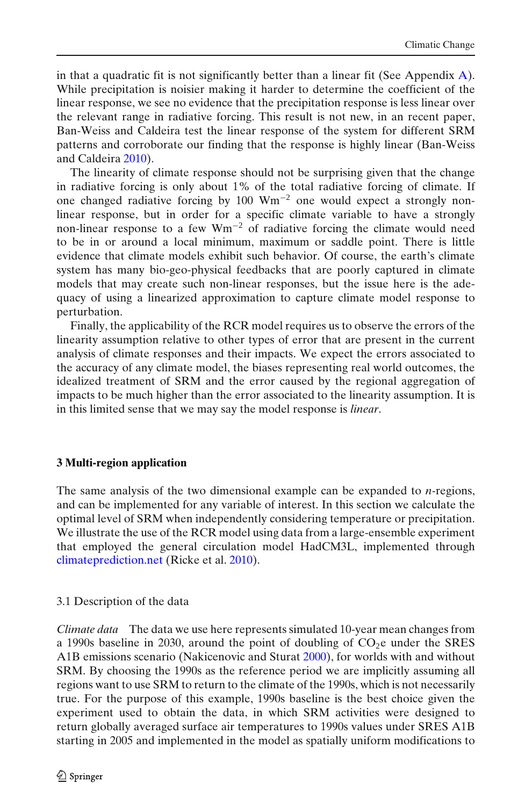<span id="page-5-0"></span>in that a quadratic fit is not significantly better than a linear fit (See Appendix  $\bf{A}$ ). While precipitation is noisier making it harder to determine the coefficient of the linear response, we see no evidence that the precipitation response is less linear over the relevant range in radiative forcing. This result is not new, in an recent paper, Ban-Weiss and Caldeira test the linear response of the system for different SRM patterns and corroborate our finding that the response is highly linear (Ban-Weiss and Caldeir[a](#page-19-0) [2010](#page-19-0)).

The linearity of climate response should not be surprising given that the change in radiative forcing is only about 1% of the total radiative forcing of climate. If one changed radiative forcing by 100 Wm<sup>−</sup><sup>2</sup> one would expect a strongly nonlinear response, but in order for a specific climate variable to have a strongly non-linear response to a few Wm<sup>-2</sup> of radiative forcing the climate would need to be in or around a local minimum, maximum or saddle point. There is little evidence that climate models exhibit such behavior. Of course, the earth's climate system has many bio-geo-physical feedbacks that are poorly captured in climate models that may create such non-linear responses, but the issue here is the adequacy of using a linearized approximation to capture climate model response to perturbation.

Finally, the applicability of the RCR model requires us to observe the errors of the linearity assumption relative to other types of error that are present in the current analysis of climate responses and their impacts. We expect the errors associated to the accuracy of any climate model, the biases representing real world outcomes, the idealized treatment of SRM and the error caused by the regional aggregation of impacts to be much higher than the error associated to the linearity assumption. It is in this limited sense that we may say the model response is *linear*.

# **3 Multi-region application**

The same analysis of the two dimensional example can be expanded to *n*-regions, and can be implemented for any variable of interest. In this section we calculate the optimal level of SRM when independently considering temperature or precipitation. We illustrate the use of the RCR model using data from a large-ensemble experiment that employed the general circulation model HadCM3L, implemented through [climateprediction.net](http://climateprediction.net) (Ricke et al[.](#page-19-0) [2010\)](#page-19-0).

#### 3.1 Description of the data

*Climate data* The data we use here represents simulated 10-year mean changes from a 1990s baseline in 2030, around the point of doubling of  $CO<sub>2</sub>e$  under the SRES A1B emissions scenario (Nakicenovic and Stura[t](#page-19-0) [2000\)](#page-19-0), for worlds with and without SRM. By choosing the 1990s as the reference period we are implicitly assuming all regions want to use SRM to return to the climate of the 1990s, which is not necessarily true. For the purpose of this example, 1990s baseline is the best choice given the experiment used to obtain the data, in which SRM activities were designed to return globally averaged surface air temperatures to 1990s values under SRES A1B starting in 2005 and implemented in the model as spatially uniform modifications to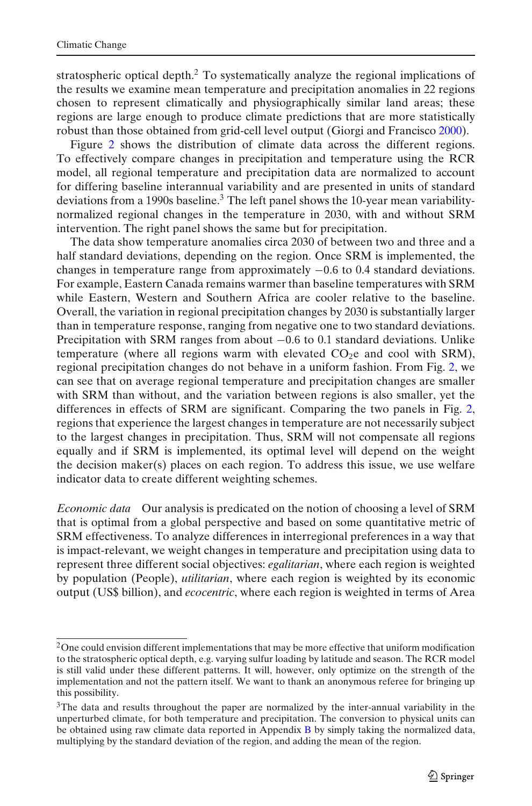stratospheric optical depth.<sup>2</sup> To systematically analyze the regional implications of the results we examine mean temperature and precipitation anomalies in 22 regions chosen to represent climatically and physiographically similar land areas; these regions are large enough to produce climate predictions that are more statistically robust than those obtained from grid-cell level output (Giorgi and Francisc[o](#page-19-0) [2000\)](#page-19-0).

Figure [2](#page-7-0) shows the distribution of climate data across the different regions. To effectively compare changes in precipitation and temperature using the RCR model, all regional temperature and precipitation data are normalized to account for differing baseline interannual variability and are presented in units of standard deviations from a 1990s baseline.<sup>3</sup> The left panel shows the 10-year mean variabilitynormalized regional changes in the temperature in 2030, with and without SRM intervention. The right panel shows the same but for precipitation.

The data show temperature anomalies circa 2030 of between two and three and a half standard deviations, depending on the region. Once SRM is implemented, the changes in temperature range from approximately −0.6 to 0.4 standard deviations. For example, Eastern Canada remains warmer than baseline temperatures with SRM while Eastern, Western and Southern Africa are cooler relative to the baseline. Overall, the variation in regional precipitation changes by 2030 is substantially larger than in temperature response, ranging from negative one to two standard deviations. Precipitation with SRM ranges from about −0.6 to 0.1 standard deviations. Unlike temperature (where all regions warm with elevated  $CO<sub>2</sub>e$  and cool with SRM), regional precipitation changes do not behave in a uniform fashion. From Fig. [2,](#page-7-0) we can see that on average regional temperature and precipitation changes are smaller with SRM than without, and the variation between regions is also smaller, yet the differences in effects of SRM are significant. Comparing the two panels in Fig. [2,](#page-7-0) regions that experience the largest changes in temperature are not necessarily subject to the largest changes in precipitation. Thus, SRM will not compensate all regions equally and if SRM is implemented, its optimal level will depend on the weight the decision maker(s) places on each region. To address this issue, we use welfare indicator data to create different weighting schemes.

*Economic data* Our analysis is predicated on the notion of choosing a level of SRM that is optimal from a global perspective and based on some quantitative metric of SRM effectiveness. To analyze differences in interregional preferences in a way that is impact-relevant, we weight changes in temperature and precipitation using data to represent three different social objectives: *egalitarian*, where each region is weighted by population (People), *utilitarian*, where each region is weighted by its economic output (US\$ billion), and *ecocentric*, where each region is weighted in terms of Area

<sup>&</sup>lt;sup>2</sup>One could envision different implementations that may be more effective that uniform modification to the stratospheric optical depth, e.g. varying sulfur loading by latitude and season. The RCR model is still valid under these different patterns. It will, however, only optimize on the strength of the implementation and not the pattern itself. We want to thank an anonymous referee for bringing up this possibility.

<sup>&</sup>lt;sup>3</sup>The data and results throughout the paper are normalized by the inter-annual variability in the unperturbed climate, for both temperature and precipitation. The conversion to physical units can be obtained using raw climate data reported in Appendix [B](#page-17-0) by simply taking the normalized data, multiplying by the standard deviation of the region, and adding the mean of the region.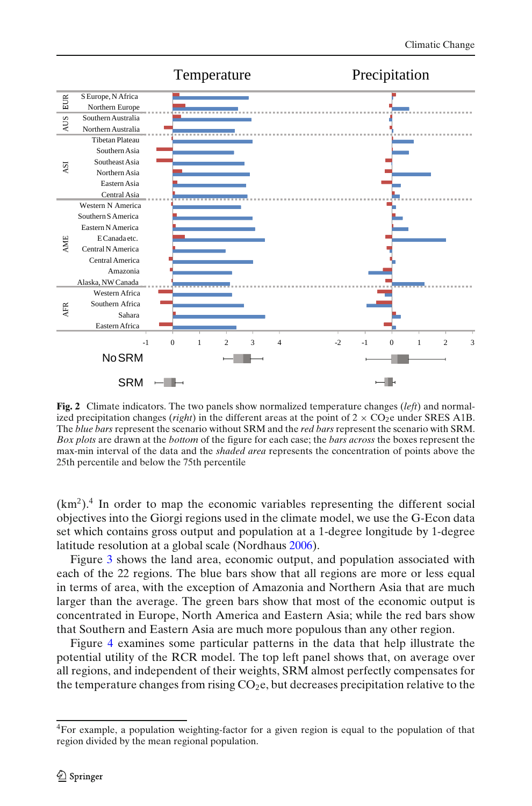<span id="page-7-0"></span>

**Fig. 2** Climate indicators. The two panels show normalized temperature changes (*left*) and normalized precipitation changes (*right*) in the different areas at the point of  $2 \times CO<sub>2</sub>$  under SRES A1B. The *blue bars* represent the scenario without SRM and the *red bars* represent the scenario with SRM. *Box plots* are drawn at the *bottom* of the figure for each case; the *bars across* the boxes represent the max-min interval of the data and the *shaded area* represents the concentration of points above the 25th percentile and below the 75th percentile

 $(km<sup>2</sup>)$ .<sup>4</sup> In order to map the economic variables representing the different social objectives into the Giorgi regions used in the climate model, we use the G-Econ data set which contains gross output and population at a 1-degree longitude by 1-degree latitude resolution at a global scale (Nordhau[s](#page-19-0) [2006](#page-19-0)).

Figure [3](#page-8-0) shows the land area, economic output, and population associated with each of the 22 regions. The blue bars show that all regions are more or less equal in terms of area, with the exception of Amazonia and Northern Asia that are much larger than the average. The green bars show that most of the economic output is concentrated in Europe, North America and Eastern Asia; while the red bars show that Southern and Eastern Asia are much more populous than any other region.

Figure [4](#page-9-0) examines some particular patterns in the data that help illustrate the potential utility of the RCR model. The top left panel shows that, on average over all regions, and independent of their weights, SRM almost perfectly compensates for the temperature changes from rising  $CO<sub>2</sub>e$ , but decreases precipitation relative to the

<sup>4</sup>For example, a population weighting-factor for a given region is equal to the population of that region divided by the mean regional population.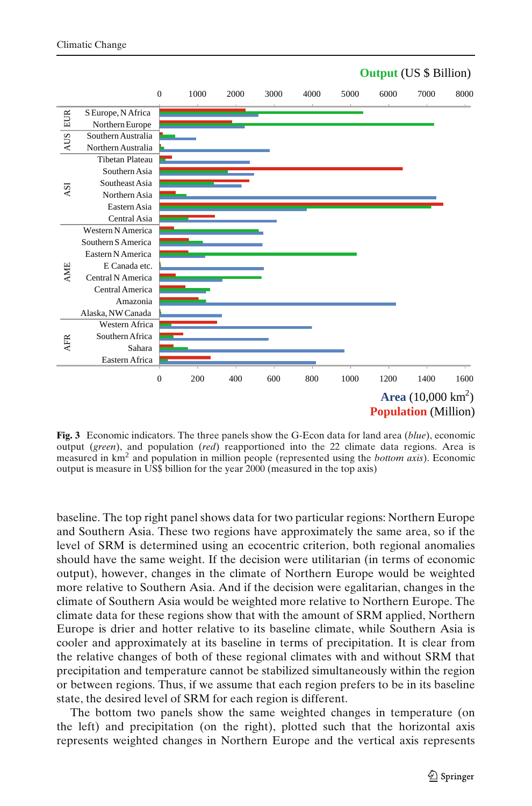<span id="page-8-0"></span>

# **Output** (US \$ Billion)

**Fig. 3** Economic indicators. The three panels show the G-Econ data for land area (*blue*), economic output (*green*), and population (*red*) reapportioned into the 22 climate data regions. Area is measured in km<sup>2</sup> and population in million people (represented using the *bottom axis*). Economic output is measure in US\$ billion for the year 2000 (measured in the top axis)

baseline. The top right panel shows data for two particular regions: Northern Europe and Southern Asia. These two regions have approximately the same area, so if the level of SRM is determined using an ecocentric criterion, both regional anomalies should have the same weight. If the decision were utilitarian (in terms of economic output), however, changes in the climate of Northern Europe would be weighted more relative to Southern Asia. And if the decision were egalitarian, changes in the climate of Southern Asia would be weighted more relative to Northern Europe. The climate data for these regions show that with the amount of SRM applied, Northern Europe is drier and hotter relative to its baseline climate, while Southern Asia is cooler and approximately at its baseline in terms of precipitation. It is clear from the relative changes of both of these regional climates with and without SRM that precipitation and temperature cannot be stabilized simultaneously within the region or between regions. Thus, if we assume that each region prefers to be in its baseline state, the desired level of SRM for each region is different.

The bottom two panels show the same weighted changes in temperature (on the left) and precipitation (on the right), plotted such that the horizontal axis represents weighted changes in Northern Europe and the vertical axis represents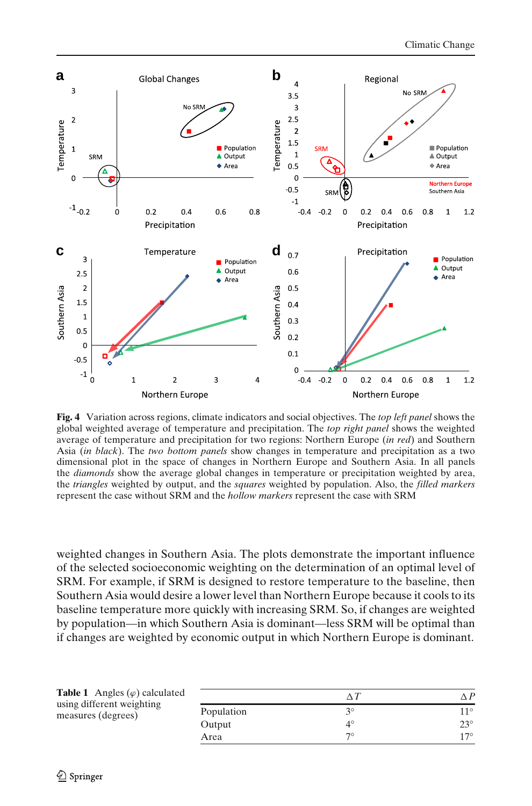<span id="page-9-0"></span>

**Fig. 4** Variation across regions, climate indicators and social objectives. The *top left panel* shows the global weighted average of temperature and precipitation. The *top right panel* shows the weighted average of temperature and precipitation for two regions: Northern Europe (*in red*) and Southern Asia (*in black*). The *two bottom panels* show changes in temperature and precipitation as a two dimensional plot in the space of changes in Northern Europe and Southern Asia. In all panels the *diamonds* show the average global changes in temperature or precipitation weighted by area, the *triangles* weighted by output, and the *squares* weighted by population. Also, the *filled markers* represent the case without SRM and the *hollow markers* represent the case with SRM

weighted changes in Southern Asia. The plots demonstrate the important influence of the selected socioeconomic weighting on the determination of an optimal level of SRM. For example, if SRM is designed to restore temperature to the baseline, then Southern Asia would desire a lower level than Northern Europe because it cools to its baseline temperature more quickly with increasing SRM. So, if changes are weighted by population—in which Southern Asia is dominant—less SRM will be optimal than if changes are weighted by economic output in which Northern Europe is dominant.

| <b>Table 1</b> Angles $(\varphi)$ calculated    |            |           | ΛP         |
|-------------------------------------------------|------------|-----------|------------|
| using different weighting<br>measures (degrees) | Population | 30        | 110        |
|                                                 | Output     | $4^\circ$ | $23^\circ$ |
|                                                 | Area       | 70        | 170        |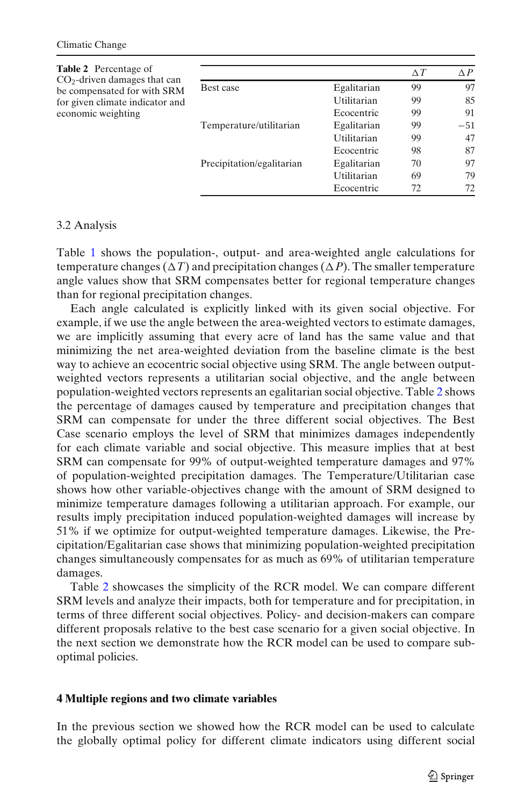<span id="page-10-0"></span>

| <b>Table 2</b> Percentage of                                  |                           |             | $\Delta T$ | $\triangle P$ |
|---------------------------------------------------------------|---------------------------|-------------|------------|---------------|
| $CO2$ -driven damages that can<br>be compensated for with SRM | Best case                 | Egalitarian | 99         | 97            |
| for given climate indicator and                               |                           | Utilitarian | 99         | 85            |
| economic weighting                                            |                           | Ecocentric  | 99         | 91            |
|                                                               | Temperature/utilitarian   | Egalitarian | 99         | $-51$         |
|                                                               |                           | Utilitarian | 99         | 47            |
|                                                               |                           | Ecocentric  | 98         | 87            |
|                                                               | Precipitation/egalitarian | Egalitarian | 70         | 97            |
|                                                               |                           | Utilitarian | 69         | 79            |
|                                                               |                           | Ecocentric  | 72         | 72            |

# 3.2 Analysis

Table [1](#page-9-0) shows the population-, output- and area-weighted angle calculations for temperature changes ( $\Delta T$ ) and precipitation changes ( $\Delta P$ ). The smaller temperature angle values show that SRM compensates better for regional temperature changes than for regional precipitation changes.

Each angle calculated is explicitly linked with its given social objective. For example, if we use the angle between the area-weighted vectors to estimate damages, we are implicitly assuming that every acre of land has the same value and that minimizing the net area-weighted deviation from the baseline climate is the best way to achieve an ecocentric social objective using SRM. The angle between outputweighted vectors represents a utilitarian social objective, and the angle between population-weighted vectors represents an egalitarian social objective. Table 2 shows the percentage of damages caused by temperature and precipitation changes that SRM can compensate for under the three different social objectives. The Best Case scenario employs the level of SRM that minimizes damages independently for each climate variable and social objective. This measure implies that at best SRM can compensate for 99% of output-weighted temperature damages and 97% of population-weighted precipitation damages. The Temperature/Utilitarian case shows how other variable-objectives change with the amount of SRM designed to minimize temperature damages following a utilitarian approach. For example, our results imply precipitation induced population-weighted damages will increase by 51% if we optimize for output-weighted temperature damages. Likewise, the Precipitation/Egalitarian case shows that minimizing population-weighted precipitation changes simultaneously compensates for as much as 69% of utilitarian temperature damages.

Table 2 showcases the simplicity of the RCR model. We can compare different SRM levels and analyze their impacts, both for temperature and for precipitation, in terms of three different social objectives. Policy- and decision-makers can compare different proposals relative to the best case scenario for a given social objective. In the next section we demonstrate how the RCR model can be used to compare suboptimal policies.

#### **4 Multiple regions and two climate variables**

In the previous section we showed how the RCR model can be used to calculate the globally optimal policy for different climate indicators using different social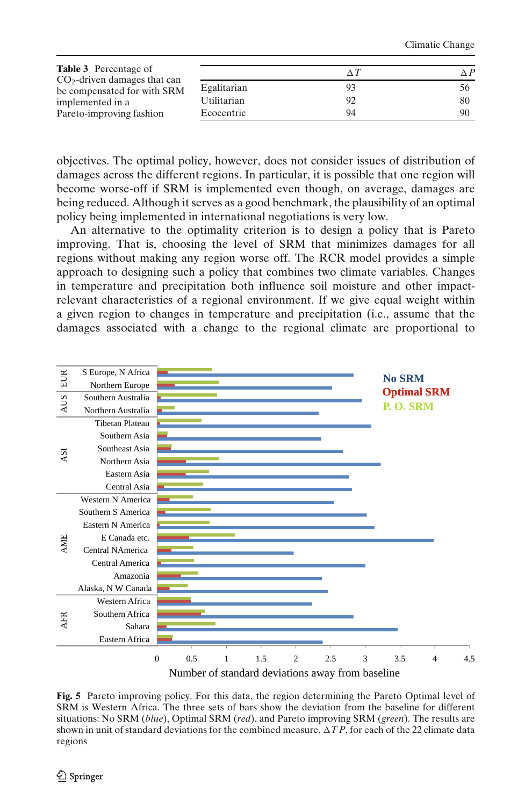<span id="page-11-0"></span>

| <b>Table 3</b> Percentage of<br>$CO2$ -driven damages that can |             |    | ΛP |
|----------------------------------------------------------------|-------------|----|----|
| be compensated for with SRM                                    | Egalitarian | 93 | 56 |
| implemented in a                                               | Utilitarian | 92 | 80 |
| Pareto-improving fashion                                       | Ecocentric  | 94 | 90 |

objectives. The optimal policy, however, does not consider issues of distribution of damages across the different regions. In particular, it is possible that one region will become worse-off if SRM is implemented even though, on average, damages are being reduced. Although it serves as a good benchmark, the plausibility of an optimal policy being implemented in international negotiations is very low.

An alternative to the optimality criterion is to design a policy that is Pareto improving. That is, choosing the level of SRM that minimizes damages for all regions without making any region worse off. The RCR model provides a simple approach to designing such a policy that combines two climate variables. Changes in temperature and precipitation both influence soil moisture and other impactrelevant characteristics of a regional environment. If we give equal weight within a given region to changes in temperature and precipitation (i.e., assume that the damages associated with a change to the regional climate are proportional to



**Fig. 5** Pareto improving policy. For this data, the region determining the Pareto Optimal level of SRM is Western Africa. The three sets of bars show the deviation from the baseline for different situations: No SRM (*blue*), Optimal SRM (*red*), and Pareto improving SRM (*green*). The results are shown in unit of standard deviations for the combined measure,  $\Delta T P$ , for each of the 22 climate data regions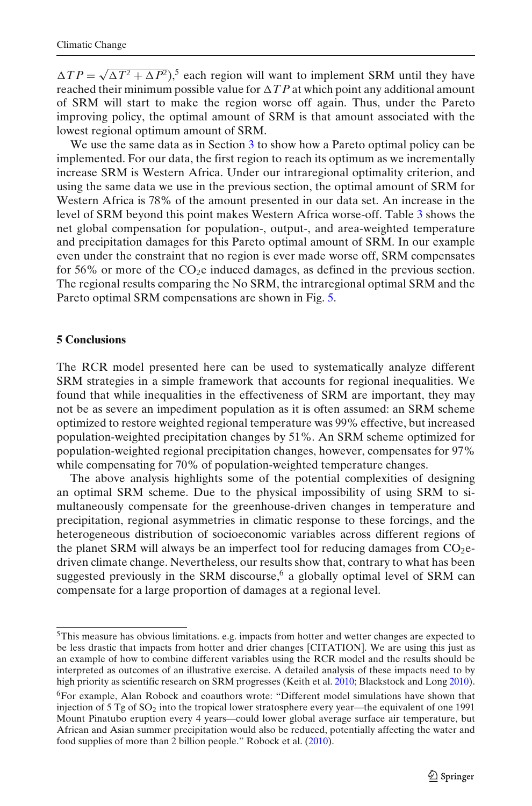<span id="page-12-0"></span> $\Delta TP = \sqrt{\Delta T^2 + \Delta P^2}$ ,<sup>5</sup> each region will want to implement SRM until they have reached their minimum possible value for  $\Delta T P$  at which point any additional amount of SRM will start to make the region worse off again. Thus, under the Pareto improving policy, the optimal amount of SRM is that amount associated with the lowest regional optimum amount of SRM.

We use the same data as in Section [3](#page-5-0) to show how a Pareto optimal policy can be implemented. For our data, the first region to reach its optimum as we incrementally increase SRM is Western Africa. Under our intraregional optimality criterion, and using the same data we use in the previous section, the optimal amount of SRM for Western Africa is 78% of the amount presented in our data set. An increase in the level of SRM beyond this point makes Western Africa worse-off. Table [3](#page-11-0) shows the net global compensation for population-, output-, and area-weighted temperature and precipitation damages for this Pareto optimal amount of SRM. In our example even under the constraint that no region is ever made worse off, SRM compensates for 56% or more of the  $CO<sub>2</sub>e$  induced damages, as defined in the previous section. The regional results comparing the No SRM, the intraregional optimal SRM and the Pareto optimal SRM compensations are shown in Fig. [5.](#page-11-0)

#### **5 Conclusions**

The RCR model presented here can be used to systematically analyze different SRM strategies in a simple framework that accounts for regional inequalities. We found that while inequalities in the effectiveness of SRM are important, they may not be as severe an impediment population as it is often assumed: an SRM scheme optimized to restore weighted regional temperature was 99% effective, but increased population-weighted precipitation changes by 51%. An SRM scheme optimized for population-weighted regional precipitation changes, however, compensates for 97% while compensating for 70% of population-weighted temperature changes.

The above analysis highlights some of the potential complexities of designing an optimal SRM scheme. Due to the physical impossibility of using SRM to simultaneously compensate for the greenhouse-driven changes in temperature and precipitation, regional asymmetries in climatic response to these forcings, and the heterogeneous distribution of socioeconomic variables across different regions of the planet SRM will always be an imperfect tool for reducing damages from  $CO<sub>2</sub>e$ driven climate change. Nevertheless, our results show that, contrary to what has been suggested previously in the SRM discourse,<sup>6</sup> a globally optimal level of SRM can compensate for a large proportion of damages at a regional level.

<sup>5</sup>This measure has obvious limitations. e.g. impacts from hotter and wetter changes are expected to be less drastic that impacts from hotter and drier changes [CITATION]. We are using this just as an example of how to combine different variables using the RCR model and the results should be interpreted as outcomes of an illustrative exercise. A detailed analysis of these impacts need to by high priority as scientific research on SRM progresses (Keith et al[.](#page-19-0) [2010;](#page-19-0) Blackstock and Lon[g](#page-19-0) [2010](#page-19-0)).

<sup>6</sup>For example, Alan Robock and coauthors wrote: "Different model simulations have shown that injection of 5 Tg of SO<sub>2</sub> into the tropical lower stratosphere every year—the equivalent of one 1991 Mount Pinatubo eruption every 4 years—could lower global average surface air temperature, but African and Asian summer precipitation would also be reduced, potentially affecting the water and food supplies of more than 2 billion people." Robock et al[.](#page-19-0) [\(2010](#page-19-0)).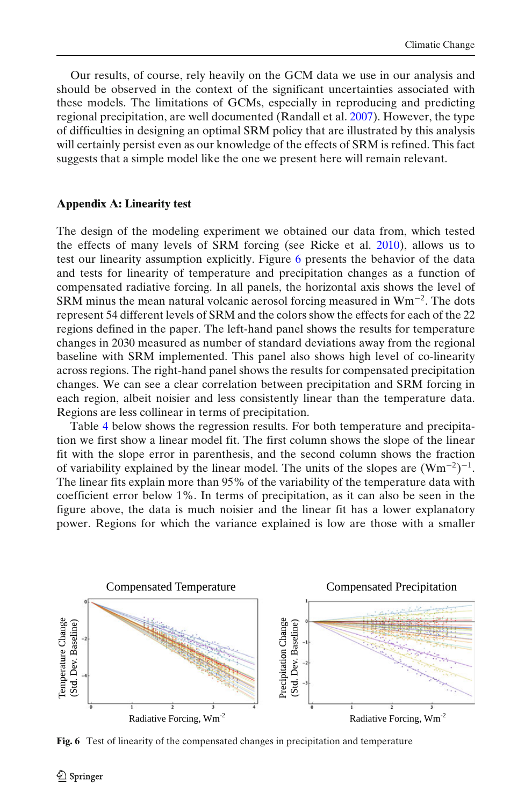<span id="page-13-0"></span>Our results, of course, rely heavily on the GCM data we use in our analysis and should be observed in the context of the significant uncertainties associated with these models. The limitations of GCMs, especially in reproducing and predicting regional precipitation, are well documented (Randall et al[.](#page-19-0) [2007](#page-19-0)). However, the type of difficulties in designing an optimal SRM policy that are illustrated by this analysis will certainly persist even as our knowledge of the effects of SRM is refined. This fact suggests that a simple model like the one we present here will remain relevant.

#### **Appendix A: Linearity test**

The design of the modeling experiment we obtained our data from, which tested the effects of many levels of SRM forcing (see Ricke et al[.](#page-19-0) [2010](#page-19-0)), allows us to test our linearity assumption explicitly. Figure 6 presents the behavior of the data and tests for linearity of temperature and precipitation changes as a function of compensated radiative forcing. In all panels, the horizontal axis shows the level of SRM minus the mean natural volcanic aerosol forcing measured in  $Wm^{-2}$ . The dots represent 54 different levels of SRM and the colors show the effects for each of the 22 regions defined in the paper. The left-hand panel shows the results for temperature changes in 2030 measured as number of standard deviations away from the regional baseline with SRM implemented. This panel also shows high level of co-linearity across regions. The right-hand panel shows the results for compensated precipitation changes. We can see a clear correlation between precipitation and SRM forcing in each region, albeit noisier and less consistently linear than the temperature data. Regions are less collinear in terms of precipitation.

Table [4](#page-14-0) below shows the regression results. For both temperature and precipitation we first show a linear model fit. The first column shows the slope of the linear fit with the slope error in parenthesis, and the second column shows the fraction of variability explained by the linear model. The units of the slopes are  $(Wm^{-2})^{-1}$ . The linear fits explain more than 95% of the variability of the temperature data with coefficient error below 1%. In terms of precipitation, as it can also be seen in the figure above, the data is much noisier and the linear fit has a lower explanatory power. Regions for which the variance explained is low are those with a smaller



**Fig. 6** Test of linearity of the compensated changes in precipitation and temperature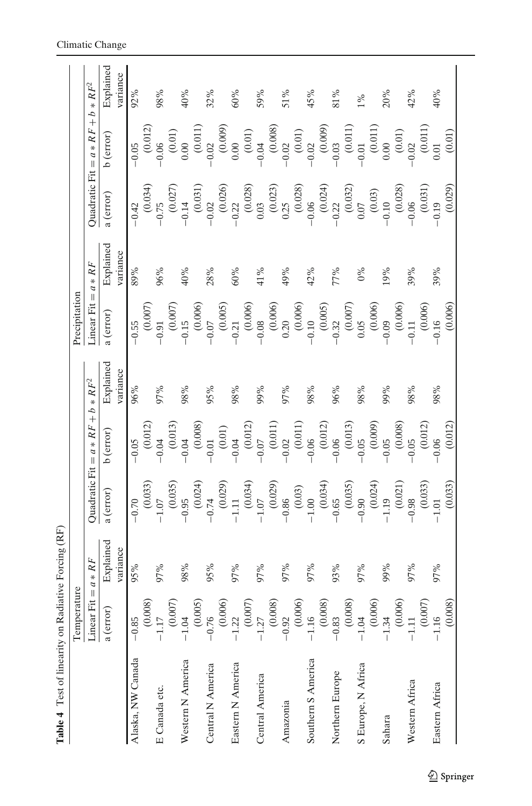<span id="page-14-0"></span>

| Table 4 Test of linearity on Radiative Forcing (RF) |                                     |           |                                            |                                                                                                                                                                                                                                                                                                                                 |                |                                                                                                                                                                                                                                                                                                                                 |             |                                                                                                                                                         |                                                                                                                                                                                                                                                                                                                                    |                  |
|-----------------------------------------------------|-------------------------------------|-----------|--------------------------------------------|---------------------------------------------------------------------------------------------------------------------------------------------------------------------------------------------------------------------------------------------------------------------------------------------------------------------------------|----------------|---------------------------------------------------------------------------------------------------------------------------------------------------------------------------------------------------------------------------------------------------------------------------------------------------------------------------------|-------------|---------------------------------------------------------------------------------------------------------------------------------------------------------|------------------------------------------------------------------------------------------------------------------------------------------------------------------------------------------------------------------------------------------------------------------------------------------------------------------------------------|------------------|
|                                                     | Temperature                         |           |                                            |                                                                                                                                                                                                                                                                                                                                 |                | Precipitation                                                                                                                                                                                                                                                                                                                   |             |                                                                                                                                                         |                                                                                                                                                                                                                                                                                                                                    |                  |
|                                                     | Linear Fit $=$                      | $a * RF$  | Quadratic Fit                              | $+ b$<br>$= a * RF$                                                                                                                                                                                                                                                                                                             | $\ast\, R F^2$ | $\vert\vert$<br>inear Fit                                                                                                                                                                                                                                                                                                       | RF<br>$a *$ | Quadratic Fit                                                                                                                                           | $= a * RF + b$                                                                                                                                                                                                                                                                                                                     | $\ast\, R\, F^2$ |
|                                                     | a (error)                           | Explained | a (error)                                  | b (error)                                                                                                                                                                                                                                                                                                                       | Explained      | a (error)                                                                                                                                                                                                                                                                                                                       | Explained   | a (error)                                                                                                                                               | b (error)                                                                                                                                                                                                                                                                                                                          | Explained        |
|                                                     |                                     | variance  |                                            |                                                                                                                                                                                                                                                                                                                                 | ariance        |                                                                                                                                                                                                                                                                                                                                 | ariance     |                                                                                                                                                         |                                                                                                                                                                                                                                                                                                                                    | variance         |
| Alaska, NW Canada                                   | $-0.85$                             | 95%       | $-0.70$                                    | $-0.05$                                                                                                                                                                                                                                                                                                                         | 96%            | $-0.55$                                                                                                                                                                                                                                                                                                                         | 89%         | $-0.42$                                                                                                                                                 | $-0.05$                                                                                                                                                                                                                                                                                                                            | 92%              |
|                                                     | (0.008)                             |           | $(0.033)$<br>-1.07                         |                                                                                                                                                                                                                                                                                                                                 |                | $(0.007)$<br>$(0.007)$<br>$(-0.91)$                                                                                                                                                                                                                                                                                             |             | $(0.034)$<br>-0.75                                                                                                                                      |                                                                                                                                                                                                                                                                                                                                    |                  |
| E Canada etc.                                       |                                     | 97%       |                                            |                                                                                                                                                                                                                                                                                                                                 | 97%            |                                                                                                                                                                                                                                                                                                                                 | 96%         |                                                                                                                                                         |                                                                                                                                                                                                                                                                                                                                    | 98%              |
|                                                     | $-1.17$<br>(0.007)<br>(0.007)       |           | $(0.035)$<br>-0.95                         | $\begin{bmatrix} 0.012 \\ -0.04 \\ -0.04 \\ -0.013 \\ 0.008 \\ -0.01 \\ 0.011 \\ -0.07 \\ 0.011 \\ -0.07 \\ 0.011 \\ -0.06 \\ 0.012 \\ 0.002 \\ -0.06 \\ 0.003 \\ 0.003 \\ -0.05 \\ 0.009 \\ 0.009 \\ -0.05 \\ 0.009 \\ -0.05 \\ -0.05 \\ -0.05 \\ -0.05 \\ -0.05 \\ -0.05 \\ -0.05 \\ -0.05 \\ -0.05 \\ -0.05 \\ -0.05 \\ -0.$ |                | $(0.007)$<br>-0.15                                                                                                                                                                                                                                                                                                              |             | $(0.027)$<br>-0.14                                                                                                                                      | $\begin{array}{r} (0.012) \\ -0.06 \\ (0.01) \\ (0.00 \\ -0.02 \\ (0.009) \\ (0.000) \\ -0.04 \\ (0.003) \\ -0.02 \\ (0.001) \\ (0.011) \\ -0.02 \\ (0.001) \\ (0.011) \\ (0.011) \\ -0.03 \\ (0.011) \\ -0.00 \\ (0.011) \\ -0.00 \\ (0.01) \\ -0.02 \\ (0.01) \\ -0.02 \\ (0.01) \\ -0.02 \\ (0.01) \\ -0.02 \\ (0.01) \\ -0.02$ |                  |
| Western N America                                   | $-1.04$                             | 98%       |                                            |                                                                                                                                                                                                                                                                                                                                 | 98%            |                                                                                                                                                                                                                                                                                                                                 | 40%         |                                                                                                                                                         |                                                                                                                                                                                                                                                                                                                                    | 40%              |
|                                                     |                                     |           |                                            |                                                                                                                                                                                                                                                                                                                                 |                |                                                                                                                                                                                                                                                                                                                                 |             |                                                                                                                                                         |                                                                                                                                                                                                                                                                                                                                    |                  |
| Central N America                                   | $^{14}$<br>(0.005)<br>-0.76<br>-0.7 | 95%       |                                            |                                                                                                                                                                                                                                                                                                                                 | 95%            | $-0.006$<br>$-0.007$<br>$-0.07$                                                                                                                                                                                                                                                                                                 | 28%         | $^{4}$<br>(0.031)<br>-0.02                                                                                                                              |                                                                                                                                                                                                                                                                                                                                    | 32%              |
|                                                     | $(0.006)$<br>-1.22<br>-1.22         |           | $(0.024)$<br>-0.74<br>(0.029)<br>(1.11     |                                                                                                                                                                                                                                                                                                                                 |                |                                                                                                                                                                                                                                                                                                                                 |             |                                                                                                                                                         |                                                                                                                                                                                                                                                                                                                                    |                  |
| Eastern N America                                   |                                     | 97%       |                                            |                                                                                                                                                                                                                                                                                                                                 | 98%            |                                                                                                                                                                                                                                                                                                                                 | 60%         |                                                                                                                                                         |                                                                                                                                                                                                                                                                                                                                    | 60%              |
|                                                     | $(0.007)$<br>-1.27                  |           | $(0.034)$<br>-1.07                         |                                                                                                                                                                                                                                                                                                                                 |                |                                                                                                                                                                                                                                                                                                                                 |             |                                                                                                                                                         |                                                                                                                                                                                                                                                                                                                                    |                  |
| Central America                                     |                                     | 97%       |                                            |                                                                                                                                                                                                                                                                                                                                 | 99%            |                                                                                                                                                                                                                                                                                                                                 | 41%         |                                                                                                                                                         |                                                                                                                                                                                                                                                                                                                                    | 59%              |
|                                                     | (0.008)                             |           | $(0.029)$<br>-0.86<br>(0.03)<br>(1.00      |                                                                                                                                                                                                                                                                                                                                 |                |                                                                                                                                                                                                                                                                                                                                 |             |                                                                                                                                                         |                                                                                                                                                                                                                                                                                                                                    |                  |
| Amazonia                                            | $-0.92$                             | 97%       |                                            |                                                                                                                                                                                                                                                                                                                                 | 97%            |                                                                                                                                                                                                                                                                                                                                 | 49%         |                                                                                                                                                         |                                                                                                                                                                                                                                                                                                                                    | $51\%$           |
|                                                     | $(0.006)$<br>-1.16                  |           |                                            |                                                                                                                                                                                                                                                                                                                                 |                |                                                                                                                                                                                                                                                                                                                                 |             |                                                                                                                                                         |                                                                                                                                                                                                                                                                                                                                    |                  |
| Southern S America                                  |                                     | 97%       |                                            |                                                                                                                                                                                                                                                                                                                                 | 98%            |                                                                                                                                                                                                                                                                                                                                 | 42%         |                                                                                                                                                         |                                                                                                                                                                                                                                                                                                                                    | 45%              |
|                                                     |                                     |           | $(0.034)$<br>-0.65<br>$(0.035)$<br>$-0.90$ |                                                                                                                                                                                                                                                                                                                                 |                | $\begin{bmatrix} (0.005) \\ -0.21 \\ (0.006) \\ -0.08 \\ (0.006) \\ (0.006) \\ (0.006) \\ -0.10 \\ (0.005) \\ -0.32 \\ (0.007) \\ (0.007) \\ (0.006) \\ (0.006) \\ -0.09 \\ (0.006) \\ -0.09 \\ (0.006) \\ -0.09 \\ (0.006) \\ -0.09 \\ (0.006) \\ -0.09 \\ (0.006) \\ -0.09 \\ (0.006) \\ -0.09 \\ (0.006) \\ -0.09 \\ (0.006$ |             | $\begin{array}{c} (0.026) \\ -0.22 \\ (0.028) \\ 0.03 \\ (0.03) \\ (0.025) \\ -0.06 \\ (0.024) \\ -0.024) \\ (0.024) \\ (0.032) \\ (0.032) \end{array}$ |                                                                                                                                                                                                                                                                                                                                    |                  |
| Northern Europe                                     | $(0.008)$<br>-0.83                  | 93%       |                                            |                                                                                                                                                                                                                                                                                                                                 | 96%            |                                                                                                                                                                                                                                                                                                                                 | 77%         |                                                                                                                                                         |                                                                                                                                                                                                                                                                                                                                    | 81%              |
|                                                     | (0.008)                             |           |                                            |                                                                                                                                                                                                                                                                                                                                 |                |                                                                                                                                                                                                                                                                                                                                 |             |                                                                                                                                                         |                                                                                                                                                                                                                                                                                                                                    |                  |
| S Europe, N Africa                                  | $-1.04$                             | 97%       |                                            |                                                                                                                                                                                                                                                                                                                                 | 98%            |                                                                                                                                                                                                                                                                                                                                 | $0\%$       |                                                                                                                                                         |                                                                                                                                                                                                                                                                                                                                    | 1%               |
|                                                     | $(0.006)$<br>-1.34                  |           | $(0.024)$<br>-1.19                         |                                                                                                                                                                                                                                                                                                                                 |                |                                                                                                                                                                                                                                                                                                                                 |             | $^{(0.03)}_{-0.10}$                                                                                                                                     |                                                                                                                                                                                                                                                                                                                                    |                  |
| Sahara                                              |                                     | 99%       |                                            |                                                                                                                                                                                                                                                                                                                                 | 99%            |                                                                                                                                                                                                                                                                                                                                 | 19%         |                                                                                                                                                         |                                                                                                                                                                                                                                                                                                                                    | $20\%$           |
|                                                     | $(0.006)$<br>-1.11<br>-1.11         |           | $(0.021)$<br>-0.98                         | $(0.008)$<br>-0.05                                                                                                                                                                                                                                                                                                              |                | $(0.006)$<br>-0.11<br>-0.11                                                                                                                                                                                                                                                                                                     |             | $\begin{array}{c} (0.028) \\ -0.06 \\ (0.031) \\ 0.19 \end{array}$                                                                                      |                                                                                                                                                                                                                                                                                                                                    |                  |
| Western Africa                                      |                                     | 97%       |                                            |                                                                                                                                                                                                                                                                                                                                 | 98%            |                                                                                                                                                                                                                                                                                                                                 | 39%         |                                                                                                                                                         |                                                                                                                                                                                                                                                                                                                                    | 42%              |
|                                                     | (0.007)                             |           | $(0.033)$<br>1.01                          | (0.012)                                                                                                                                                                                                                                                                                                                         |                | (0.006)                                                                                                                                                                                                                                                                                                                         |             |                                                                                                                                                         | $\begin{array}{c} (0.011) \\ 0.01 \end{array}$                                                                                                                                                                                                                                                                                     |                  |
| Eastern Africa                                      | $-1.16$                             | 97%       |                                            | 0.06                                                                                                                                                                                                                                                                                                                            | 98%            | $-0.16$                                                                                                                                                                                                                                                                                                                         | 39%         |                                                                                                                                                         |                                                                                                                                                                                                                                                                                                                                    | 40%              |
|                                                     | (0.008)                             |           | (0.033)                                    | (0.012)                                                                                                                                                                                                                                                                                                                         |                | (0.006)                                                                                                                                                                                                                                                                                                                         |             | (0.029)                                                                                                                                                 | (0.01)                                                                                                                                                                                                                                                                                                                             |                  |
|                                                     |                                     |           |                                            |                                                                                                                                                                                                                                                                                                                                 |                |                                                                                                                                                                                                                                                                                                                                 |             |                                                                                                                                                         |                                                                                                                                                                                                                                                                                                                                    |                  |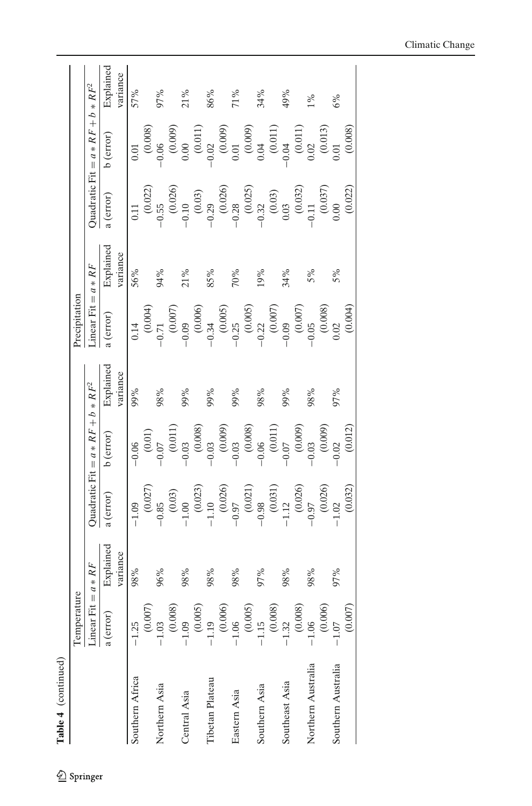| Table 4 (continued) |                              |            |                                                                                                                                                                                                                             |                                                                                                                                                                                                                 |           |                                                                                                                                                                                                      |           |                                                                                                                                   |                                                                                                                                                                                                                                                                             |            |
|---------------------|------------------------------|------------|-----------------------------------------------------------------------------------------------------------------------------------------------------------------------------------------------------------------------------|-----------------------------------------------------------------------------------------------------------------------------------------------------------------------------------------------------------------|-----------|------------------------------------------------------------------------------------------------------------------------------------------------------------------------------------------------------|-----------|-----------------------------------------------------------------------------------------------------------------------------------|-----------------------------------------------------------------------------------------------------------------------------------------------------------------------------------------------------------------------------------------------------------------------------|------------|
|                     | ture<br>Tempera <sup>-</sup> |            |                                                                                                                                                                                                                             |                                                                                                                                                                                                                 |           | Precipitation                                                                                                                                                                                        |           |                                                                                                                                   |                                                                                                                                                                                                                                                                             |            |
|                     | Linear Fit                   | $= a * RF$ | Quadratic Fit                                                                                                                                                                                                               | $= a * RF + b * RF^{2}$                                                                                                                                                                                         |           | $\parallel$<br>Linear Fit                                                                                                                                                                            | $a * RF$  | Quadratic Fit                                                                                                                     | $= a * RF + b * RF^{2}$                                                                                                                                                                                                                                                     |            |
|                     | a (error)                    | Explained  | a (error)                                                                                                                                                                                                                   | b (error)                                                                                                                                                                                                       | Explained | a (error)                                                                                                                                                                                            | Explained | a (error)                                                                                                                         | $b$ (error)                                                                                                                                                                                                                                                                 | Explained  |
|                     |                              | variance   |                                                                                                                                                                                                                             |                                                                                                                                                                                                                 | ariance   |                                                                                                                                                                                                      | variance  |                                                                                                                                   |                                                                                                                                                                                                                                                                             | variance   |
| Southern Africa     | $-1.25$                      | 98%        | 1.09                                                                                                                                                                                                                        | $-0.06$                                                                                                                                                                                                         | 99%       |                                                                                                                                                                                                      | 56%       |                                                                                                                                   | 0.01                                                                                                                                                                                                                                                                        | 57%        |
|                     | (0.007)                      |            |                                                                                                                                                                                                                             |                                                                                                                                                                                                                 |           |                                                                                                                                                                                                      |           |                                                                                                                                   |                                                                                                                                                                                                                                                                             |            |
| Northern Asia       | $-1.03$                      | $^{96%}$   |                                                                                                                                                                                                                             |                                                                                                                                                                                                                 | $98\%$    |                                                                                                                                                                                                      | 94%       |                                                                                                                                   |                                                                                                                                                                                                                                                                             | $\sqrt{6}$ |
|                     | (0.008)                      |            |                                                                                                                                                                                                                             |                                                                                                                                                                                                                 |           |                                                                                                                                                                                                      |           | $(0.022)$<br>$-0.55$<br>$(0.026)$<br>$-0.10$                                                                                      |                                                                                                                                                                                                                                                                             |            |
| Central Asia        | $-1.09$                      | 98%        |                                                                                                                                                                                                                             |                                                                                                                                                                                                                 | 99%       |                                                                                                                                                                                                      | 21%       |                                                                                                                                   |                                                                                                                                                                                                                                                                             | 21%        |
|                     | (0.005)                      |            |                                                                                                                                                                                                                             |                                                                                                                                                                                                                 |           |                                                                                                                                                                                                      |           |                                                                                                                                   |                                                                                                                                                                                                                                                                             |            |
| Tibetan Plateau     | $-1.19$                      | 98%        |                                                                                                                                                                                                                             |                                                                                                                                                                                                                 | 99%       |                                                                                                                                                                                                      | 85%       |                                                                                                                                   |                                                                                                                                                                                                                                                                             | 86%        |
|                     | (0.006)                      |            |                                                                                                                                                                                                                             |                                                                                                                                                                                                                 |           |                                                                                                                                                                                                      |           | $\begin{array}{c} (0.03) \\ -0.29 \\ (0.026) \\ -0.28 \\ (0.025) \\ (0.03) \\ (0.03) \\ (0.03) \\ (0.032) \\ (0.032) \end{array}$ |                                                                                                                                                                                                                                                                             |            |
| Eastern Asia        | $-1.06$                      | 98%        |                                                                                                                                                                                                                             |                                                                                                                                                                                                                 | 99%       |                                                                                                                                                                                                      | 70%       |                                                                                                                                   |                                                                                                                                                                                                                                                                             | 71%        |
|                     | (0.005)                      |            |                                                                                                                                                                                                                             |                                                                                                                                                                                                                 |           |                                                                                                                                                                                                      |           |                                                                                                                                   |                                                                                                                                                                                                                                                                             |            |
| Southern Asia       | $-1.15$                      | 97%        |                                                                                                                                                                                                                             |                                                                                                                                                                                                                 | 98%       |                                                                                                                                                                                                      | 19%       |                                                                                                                                   |                                                                                                                                                                                                                                                                             | 34%        |
|                     | (0.008)                      |            |                                                                                                                                                                                                                             |                                                                                                                                                                                                                 |           |                                                                                                                                                                                                      |           |                                                                                                                                   |                                                                                                                                                                                                                                                                             |            |
| Southeast Asia      | $-1.32$                      | 98%        |                                                                                                                                                                                                                             |                                                                                                                                                                                                                 | 99%       |                                                                                                                                                                                                      | 34%       |                                                                                                                                   |                                                                                                                                                                                                                                                                             | 49%        |
|                     | (0.008)                      |            |                                                                                                                                                                                                                             |                                                                                                                                                                                                                 |           |                                                                                                                                                                                                      |           |                                                                                                                                   |                                                                                                                                                                                                                                                                             |            |
| Northern Australia  | $-1.06$                      | 98%        |                                                                                                                                                                                                                             |                                                                                                                                                                                                                 | 98%       |                                                                                                                                                                                                      | 5%        |                                                                                                                                   |                                                                                                                                                                                                                                                                             | 1%         |
|                     | (0.006)                      |            | $\begin{array}{c} (0.027) \\ -0.85 \\ (0.03) \\ -1.00 \\ (0.023) \\ (0.026) \\ -0.97 \\ (0.020) \\ (0.021) \\ (0.031) \\ (0.031) \\ -1.12 \\ (0.026) \\ (0.030) \\ (0.030) \\ (0.026) \\ (0.026) \\ (0.026) \\ \end{array}$ | $\begin{bmatrix} (0.01) \\ -0.07 \\ (0.011) \\ -0.03 \\ (0.008) \\ -0.03 \\ (0.009) \\ -0.03 \\ (0.009) \\ -0.05 \\ (0.011) \\ -0.07 \\ (0.009) \\ -0.03 \\ (0.009) \\ -0.02 \\ (0.012) \\ 0.012 \end{bmatrix}$ |           | $\begin{bmatrix} (0.004) \\ -0.71 \\ (0.007) \\ -0.99 \\ -0.34 \\ (0.006) \\ -0.25 \\ (0.005) \\ -0.22 \\ (0.007) \\ -0.09 \\ (0.007) \\ -0.05 \\ (0.008) \\ 0.02 \\ (0.004) \\ 0.004 \end{bmatrix}$ |           | $(0.037)$<br>0.00                                                                                                                 | $\begin{array}{c} (0.008)\\ -0.06\\ 0.000\\ 0.000\\ 0.01\\ 0.01\\ 0.000\\ 0.01\\ 0.04\\ 0.01\\ 0.000\\ 0.04\\ 0.01\\ 0.01\\ 0.00\\ 0.00\\ 0.00\\ 0.01\\ 0.00\\ 0.00\\ 0.00\\ 0.00\\ 0.00\\ 0.00\\ 0.00\\ 0.00\\ 0.00\\ 0.00\\ 0.00\\ 0.00\\ 0.00\\ 0.00\\ 0.00\\ 0.00\\ 0.$ |            |
| Southern Australia  | $-1.07$                      | 666        |                                                                                                                                                                                                                             |                                                                                                                                                                                                                 | 97%       |                                                                                                                                                                                                      | 5%        |                                                                                                                                   |                                                                                                                                                                                                                                                                             | 6%         |
|                     | (0.007                       |            | (0.032)                                                                                                                                                                                                                     |                                                                                                                                                                                                                 |           |                                                                                                                                                                                                      |           | (0.022)                                                                                                                           |                                                                                                                                                                                                                                                                             |            |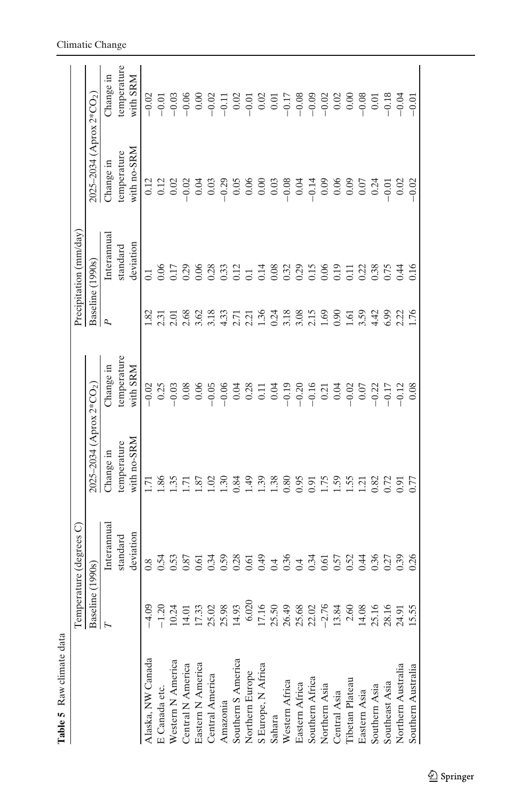| Table 5 Raw climate data               |                                                                                            |                         |                                 |                    |                           |                            |                                        |                                                                                                                                                                                                                                                                                |
|----------------------------------------|--------------------------------------------------------------------------------------------|-------------------------|---------------------------------|--------------------|---------------------------|----------------------------|----------------------------------------|--------------------------------------------------------------------------------------------------------------------------------------------------------------------------------------------------------------------------------------------------------------------------------|
|                                        |                                                                                            | Temperature (degrees C) |                                 |                    |                           | Precipitation (mm/day)     |                                        |                                                                                                                                                                                                                                                                                |
|                                        | Baseline (1990s)                                                                           |                         | $2025 - 2034$ (Aprox $2*CO_2$ ) |                    |                           | Baseline (1990s)           | $2025 - 2034$ (Aprox $2*CO_2$ )        |                                                                                                                                                                                                                                                                                |
|                                        |                                                                                            | Interannua              | Change in                       | Change in          | P                         | Interannua                 | Change in                              | Change in                                                                                                                                                                                                                                                                      |
|                                        |                                                                                            | standard                | temperature                     | cmperature         |                           | standard                   | temperature                            | temperature                                                                                                                                                                                                                                                                    |
|                                        |                                                                                            | deviation               | with no-SRM                     | with SRM           |                           | deviation                  | with no-SRM                            | with SRM                                                                                                                                                                                                                                                                       |
| Alaska, NW Canada                      | $-4.09$                                                                                    | 0.8                     | Ę                               | $-0.02$            | $\widetilde{\mathcal{S}}$ | $\overline{0.1}$           | 0.12                                   | $-0.02$                                                                                                                                                                                                                                                                        |
| E Canada etc.                          | $-1.20$                                                                                    | 0.54                    | .86                             | 0.25               | 2.31                      | 0.06                       | 0.12                                   | $-0.01$                                                                                                                                                                                                                                                                        |
|                                        | $\begin{array}{c} 10.24 \\ 14.01 \\ 17.33 \\ 25.02 \\ 25.93 \\ 14.93 \\ 6.020 \end{array}$ | 0.53                    | $\ddot{35}$                     | $-0.03$            | 2.01                      | 0.17                       | $0.02$<br>$-0.03$<br>$-0.03$           | $-0.03$                                                                                                                                                                                                                                                                        |
| Western N America<br>Central N America |                                                                                            | 0.87                    | E                               | 0.08               |                           |                            |                                        | $-0.06$                                                                                                                                                                                                                                                                        |
| Eastern N America                      |                                                                                            | 0.61                    | 87                              | 0.06               | $2.68$<br>$3.62$          |                            |                                        | 0.00                                                                                                                                                                                                                                                                           |
| Central America                        |                                                                                            | 0.34                    | S                               | $-0.05$            | 3.18                      | 0.29<br>0.38               |                                        |                                                                                                                                                                                                                                                                                |
| Amazonia                               |                                                                                            | 0.59                    | $\overline{30}$                 | $-0.06$            | 4.33                      | 0.33                       | $-0.29$                                |                                                                                                                                                                                                                                                                                |
| Southern S America                     |                                                                                            | 0.28                    | 0.84                            | 0.04               | 2.71                      |                            | 0.05                                   | $\begin{array}{cccc}\n0.01 & 0.01 & 0.01 & 0.01 & 0.01 & 0.01 & 0.01 & 0.01 & 0.01 & 0.01 & 0.01 & 0.01 & 0.01 & 0.01 & 0.01 & 0.01 & 0.01 & 0.01 & 0.01 & 0.01 & 0.01 & 0.01 & 0.01 & 0.01 & 0.01 & 0.01 & 0.01 & 0.01 & 0.01 & 0.01 & 0.01 & 0.01 & 0.01 & 0.01 & 0.01 & 0.$ |
| Northern Europe                        |                                                                                            | 0.61                    | 64.1                            | 0.28               | 2.21                      | $\frac{12}{0.1}$           | 0.06                                   |                                                                                                                                                                                                                                                                                |
| S Europe, N Africa                     | 17.16                                                                                      | 0.49                    | 1.39                            | 0.11               | 1.36                      |                            |                                        |                                                                                                                                                                                                                                                                                |
| Sahara                                 |                                                                                            |                         | 1.38                            | 0.04               | 0.24                      |                            |                                        |                                                                                                                                                                                                                                                                                |
| Western Africa                         |                                                                                            | $0.4$<br>0.36           | 0.80                            | $-0.19$            | 3.18                      | $0.14$<br>$0.08$<br>$0.32$ | $0.00$<br>0.03<br>0.03<br>0.04<br>0.04 |                                                                                                                                                                                                                                                                                |
| Eastern Africa                         |                                                                                            |                         | 0.95                            |                    |                           | 0.29                       |                                        |                                                                                                                                                                                                                                                                                |
| Southern Africa                        | 25.50<br>26.49<br>25.68<br>22.02<br>13.84                                                  | 0.34                    | 0.91                            | $-0.20$<br>$-0.16$ | $3.08$<br>$2.15$          | 0.15                       |                                        |                                                                                                                                                                                                                                                                                |
| Northern Asia                          |                                                                                            | 0.61                    | 1.75                            | 0.21               | 1.69                      | 0.06                       |                                        | $-0.02$                                                                                                                                                                                                                                                                        |
| Central Asia                           |                                                                                            | 0.57                    | <b>1.59</b>                     | 0.04               | 0.90                      | 0.19                       | $0.09$<br>0.06                         | 0.02                                                                                                                                                                                                                                                                           |
| Tibetan Plateau                        | 2.60                                                                                       | 0.52                    | 1.55                            | $-0.02$            | 1.61                      | $\overline{0.11}$          | 0.09                                   | 0.00                                                                                                                                                                                                                                                                           |
| Eastern Asia                           |                                                                                            | 0.44                    | $\overline{121}$                |                    | 3.59                      | $0.22$<br>0.38             |                                        | $-0.08$                                                                                                                                                                                                                                                                        |
| Southern Asia                          | 14.08<br>25.16                                                                             | 0.36                    | 0.82                            | $-0.22$            | 4.42                      |                            | 0.24                                   | 0.01                                                                                                                                                                                                                                                                           |
| Southeast Asia                         | 28.16<br>24.91                                                                             | 0.27                    | 0.72                            | $-0.17$            | 6.99                      | 0.75                       | $-0.01$                                | $-0.18$                                                                                                                                                                                                                                                                        |
| Northern Australia                     |                                                                                            | 0.39                    | 0.91                            | $-0.12$            | 2.22                      | $\ddot{4}$                 | 0.02                                   | $-0.04$                                                                                                                                                                                                                                                                        |
| Southern Australia                     | 15.55                                                                                      | 0.26                    | 0.77                            | 0.08               | 1.76                      | 0.16                       | $-0.02$                                | $-0.01$                                                                                                                                                                                                                                                                        |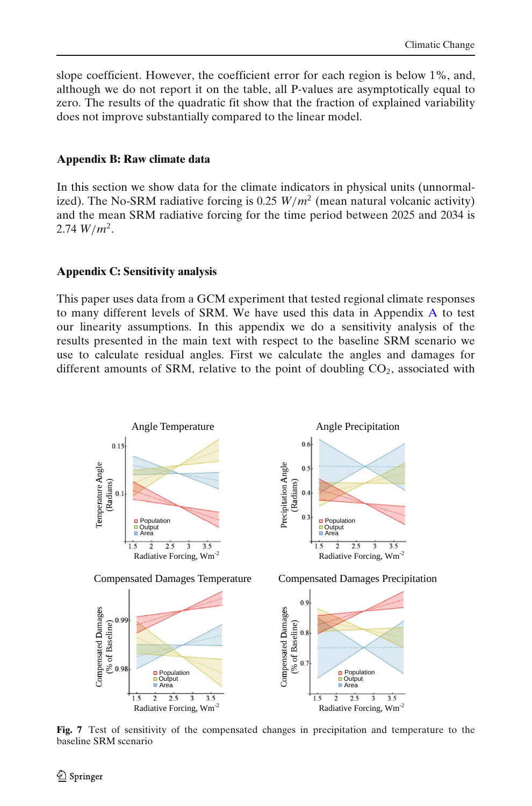<span id="page-17-0"></span>slope coefficient. However, the coefficient error for each region is below 1%, and, although we do not report it on the table, all P-values are asymptotically equal to zero. The results of the quadratic fit show that the fraction of explained variability does not improve substantially compared to the linear model.

# **Appendix B: Raw climate data**

In this section we show data for the climate indicators in physical units (unnormalized). The No-SRM radiative forcing is  $0.25 W/m^2$  (mean natural volcanic activity) and the mean SRM radiative forcing for the time period between 2025 and 2034 is  $2.74 W/m<sup>2</sup>$ .

# **Appendix C: Sensitivity analysis**

This paper uses data from a GCM experiment that tested regional climate responses to many different levels of SRM. We have used this data in Appendix [A](#page-13-0) to test our linearity assumptions. In this appendix we do a sensitivity analysis of the results presented in the main text with respect to the baseline SRM scenario we use to calculate residual angles. First we calculate the angles and damages for different amounts of SRM, relative to the point of doubling  $CO<sub>2</sub>$ , associated with



**Fig. 7** Test of sensitivity of the compensated changes in precipitation and temperature to the baseline SRM scenario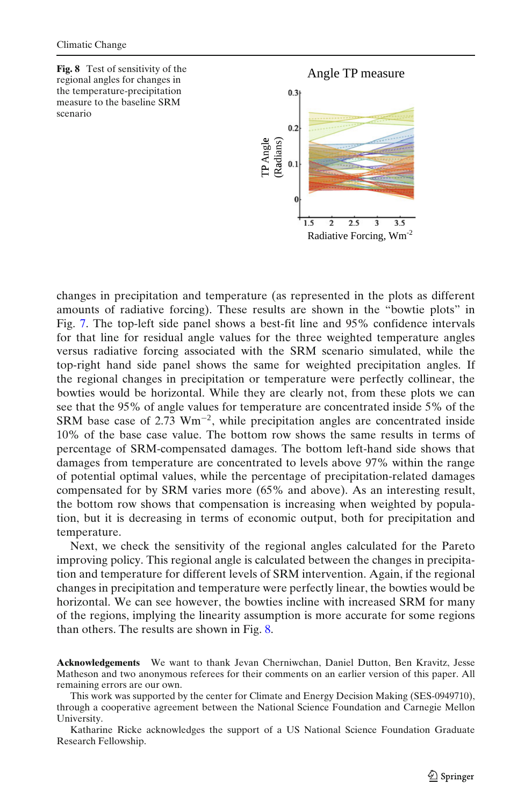



changes in precipitation and temperature (as represented in the plots as different amounts of radiative forcing). These results are shown in the "bowtie plots" in Fig. [7.](#page-17-0) The top-left side panel shows a best-fit line and 95% confidence intervals for that line for residual angle values for the three weighted temperature angles versus radiative forcing associated with the SRM scenario simulated, while the top-right hand side panel shows the same for weighted precipitation angles. If the regional changes in precipitation or temperature were perfectly collinear, the bowties would be horizontal. While they are clearly not, from these plots we can see that the 95% of angle values for temperature are concentrated inside 5% of the SRM base case of 2.73 Wm<sup>-2</sup>, while precipitation angles are concentrated inside 10% of the base case value. The bottom row shows the same results in terms of percentage of SRM-compensated damages. The bottom left-hand side shows that damages from temperature are concentrated to levels above 97% within the range of potential optimal values, while the percentage of precipitation-related damages compensated for by SRM varies more (65% and above). As an interesting result, the bottom row shows that compensation is increasing when weighted by population, but it is decreasing in terms of economic output, both for precipitation and temperature.

Next, we check the sensitivity of the regional angles calculated for the Pareto improving policy. This regional angle is calculated between the changes in precipitation and temperature for different levels of SRM intervention. Again, if the regional changes in precipitation and temperature were perfectly linear, the bowties would be horizontal. We can see however, the bowties incline with increased SRM for many of the regions, implying the linearity assumption is more accurate for some regions than others. The results are shown in Fig. 8.

**Acknowledgements** We want to thank Jevan Cherniwchan, Daniel Dutton, Ben Kravitz, Jesse Matheson and two anonymous referees for their comments on an earlier version of this paper. All remaining errors are our own.

This work was supported by the center for Climate and Energy Decision Making (SES-0949710), through a cooperative agreement between the National Science Foundation and Carnegie Mellon University.

Katharine Ricke acknowledges the support of a US National Science Foundation Graduate Research Fellowship.